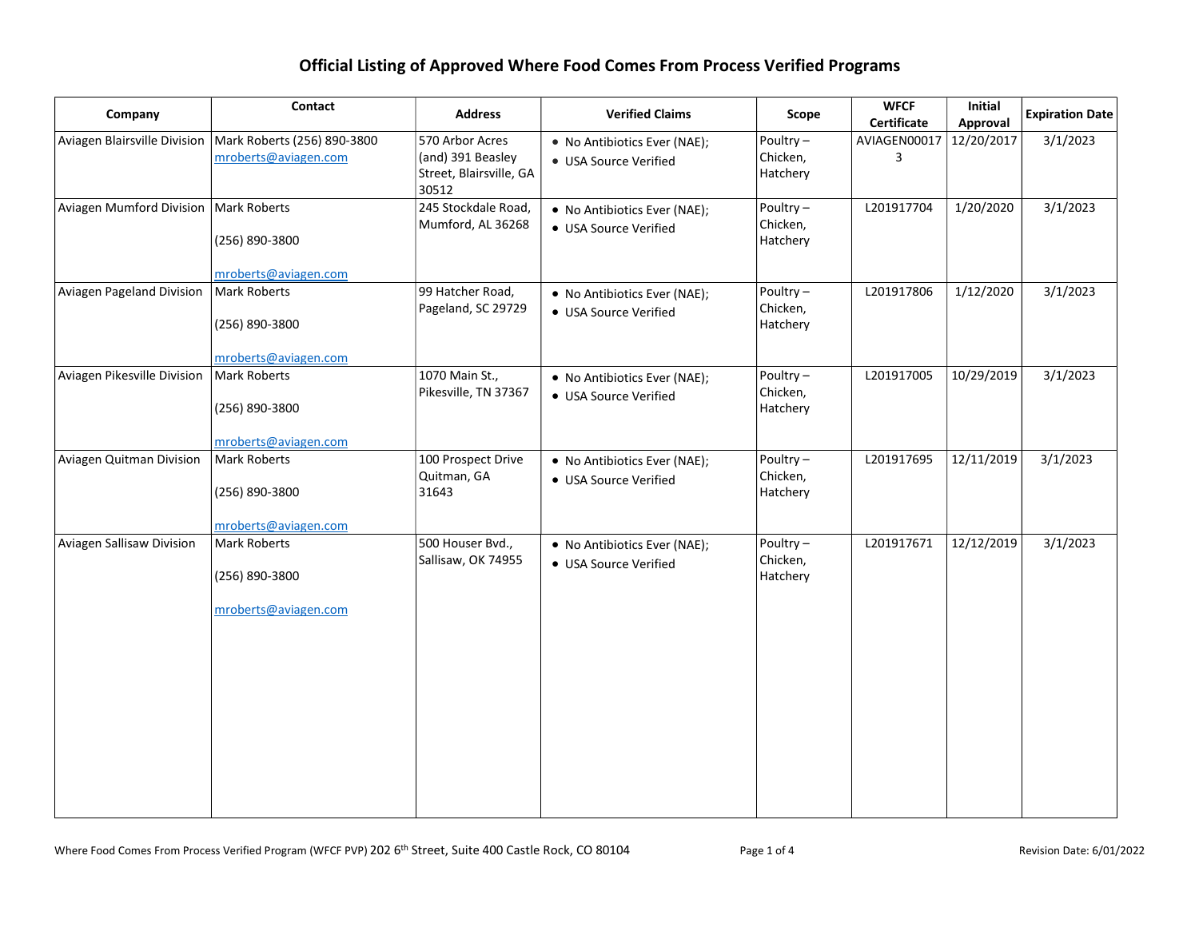| Company                                 | Contact                                                | <b>Address</b>                                                           | <b>Verified Claims</b>                                | Scope                               | <b>WFCF</b><br>Certificate | Initial<br>Approval | <b>Expiration Date</b> |
|-----------------------------------------|--------------------------------------------------------|--------------------------------------------------------------------------|-------------------------------------------------------|-------------------------------------|----------------------------|---------------------|------------------------|
| Aviagen Blairsville Division            | Mark Roberts (256) 890-3800<br>mroberts@aviagen.com    | 570 Arbor Acres<br>(and) 391 Beasley<br>Street, Blairsville, GA<br>30512 | • No Antibiotics Ever (NAE);<br>• USA Source Verified | Poultry $-$<br>Chicken,<br>Hatchery | AVIAGEN00017<br>3          | 12/20/2017          | 3/1/2023               |
| Aviagen Mumford Division   Mark Roberts | (256) 890-3800<br>mroberts@aviagen.com                 | 245 Stockdale Road,<br>Mumford, AL 36268                                 | • No Antibiotics Ever (NAE);<br>• USA Source Verified | Poultry $-$<br>Chicken,<br>Hatchery | L201917704                 | 1/20/2020           | 3/1/2023               |
| Aviagen Pageland Division               | Mark Roberts<br>(256) 890-3800<br>mroberts@aviagen.com | 99 Hatcher Road,<br>Pageland, SC 29729                                   | • No Antibiotics Ever (NAE);<br>• USA Source Verified | Poultry $-$<br>Chicken,<br>Hatchery | L201917806                 | 1/12/2020           | 3/1/2023               |
| Aviagen Pikesville Division             | Mark Roberts<br>(256) 890-3800<br>mroberts@aviagen.com | 1070 Main St.,<br>Pikesville, TN 37367                                   | • No Antibiotics Ever (NAE);<br>• USA Source Verified | Poultry $-$<br>Chicken,<br>Hatchery | L201917005                 | 10/29/2019          | 3/1/2023               |
| Aviagen Quitman Division                | Mark Roberts<br>(256) 890-3800<br>mroberts@aviagen.com | 100 Prospect Drive<br>Quitman, GA<br>31643                               | • No Antibiotics Ever (NAE);<br>• USA Source Verified | Poultry-<br>Chicken,<br>Hatchery    | L201917695                 | 12/11/2019          | 3/1/2023               |
| Aviagen Sallisaw Division               | Mark Roberts<br>(256) 890-3800<br>mroberts@aviagen.com | 500 Houser Bvd.,<br>Sallisaw, OK 74955                                   | • No Antibiotics Ever (NAE);<br>• USA Source Verified | Poultry $-$<br>Chicken,<br>Hatchery | L201917671                 | 12/12/2019          | 3/1/2023               |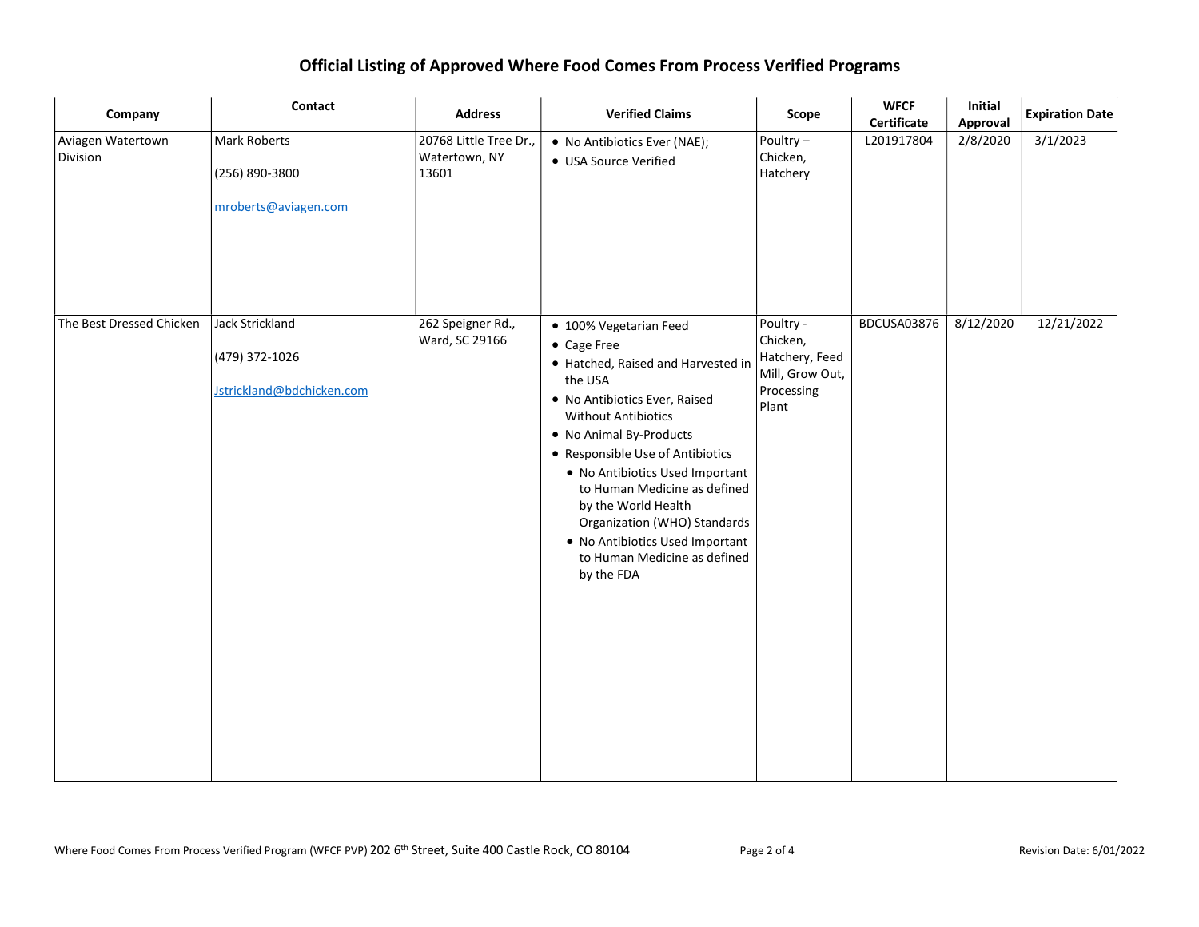| Company                       | Contact                                                               | <b>Address</b>                                   | <b>Verified Claims</b>                                                                                                                                                                                                                                                                                                                                                                                                          | Scope                                                                             | <b>WFCF</b><br>Certificate | Initial<br>Approval | <b>Expiration Date</b> |
|-------------------------------|-----------------------------------------------------------------------|--------------------------------------------------|---------------------------------------------------------------------------------------------------------------------------------------------------------------------------------------------------------------------------------------------------------------------------------------------------------------------------------------------------------------------------------------------------------------------------------|-----------------------------------------------------------------------------------|----------------------------|---------------------|------------------------|
| Aviagen Watertown<br>Division | Mark Roberts<br>(256) 890-3800<br>mroberts@aviagen.com                | 20768 Little Tree Dr.,<br>Watertown, NY<br>13601 | • No Antibiotics Ever (NAE);<br>• USA Source Verified                                                                                                                                                                                                                                                                                                                                                                           | Poultry-<br>Chicken,<br>Hatchery                                                  | L201917804                 | 2/8/2020            | 3/1/2023               |
| The Best Dressed Chicken      | <b>Jack Strickland</b><br>(479) 372-1026<br>Jstrickland@bdchicken.com | 262 Speigner Rd.,<br>Ward, SC 29166              | • 100% Vegetarian Feed<br>• Cage Free<br>• Hatched, Raised and Harvested in<br>the USA<br>. No Antibiotics Ever, Raised<br><b>Without Antibiotics</b><br>• No Animal By-Products<br>• Responsible Use of Antibiotics<br>• No Antibiotics Used Important<br>to Human Medicine as defined<br>by the World Health<br>Organization (WHO) Standards<br>. No Antibiotics Used Important<br>to Human Medicine as defined<br>by the FDA | Poultry -<br>Chicken,<br>Hatchery, Feed<br>Mill, Grow Out,<br>Processing<br>Plant | BDCUSA03876                | 8/12/2020           | 12/21/2022             |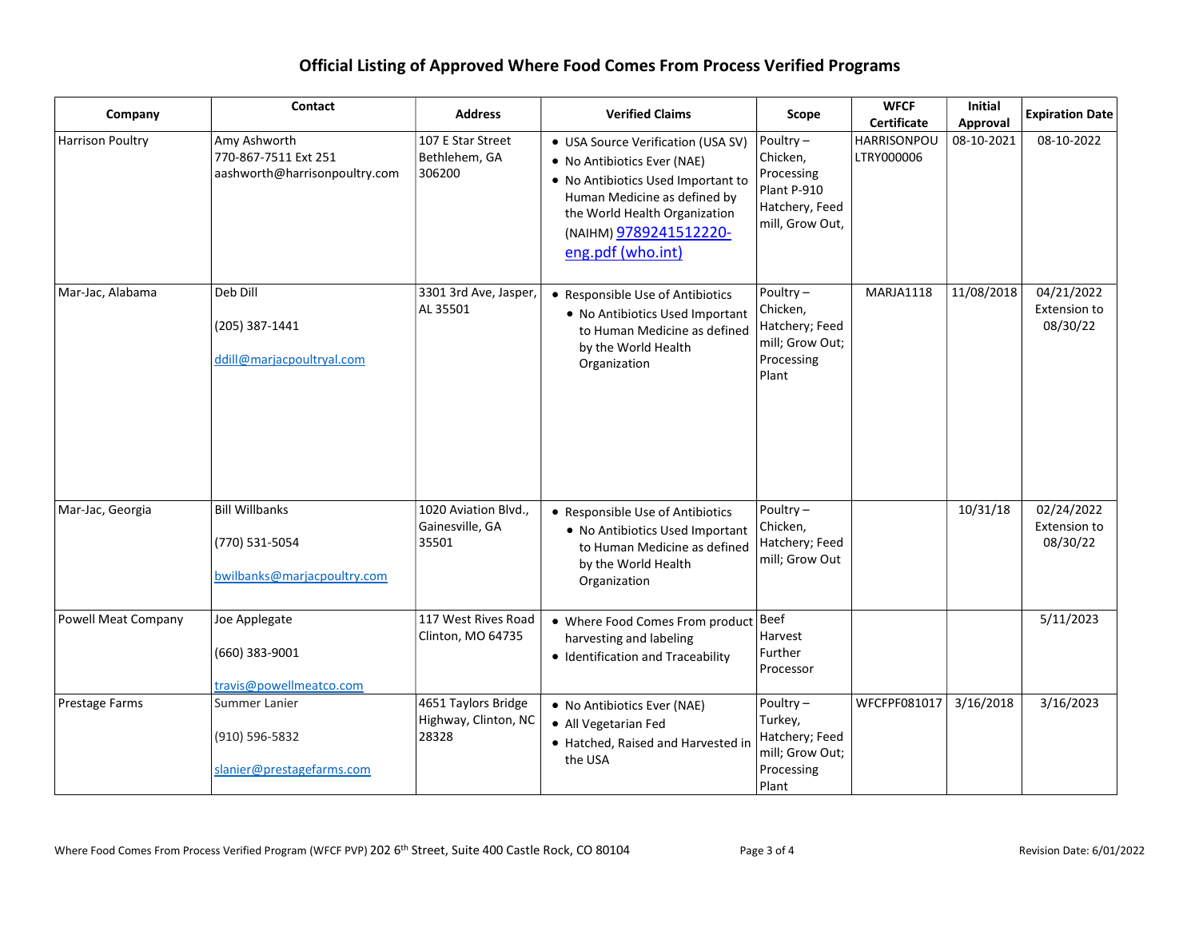| Company             | Contact                                                                | <b>Address</b>                                       | <b>Verified Claims</b>                                                                                                                                                                                                  | Scope                                                                                     | <b>WFCF</b><br><b>Certificate</b> | <b>Initial</b><br>Approval | <b>Expiration Date</b>                 |
|---------------------|------------------------------------------------------------------------|------------------------------------------------------|-------------------------------------------------------------------------------------------------------------------------------------------------------------------------------------------------------------------------|-------------------------------------------------------------------------------------------|-----------------------------------|----------------------------|----------------------------------------|
| Harrison Poultry    | Amy Ashworth<br>770-867-7511 Ext 251<br>aashworth@harrisonpoultry.com  | 107 E Star Street<br>Bethlehem, GA<br>306200         | • USA Source Verification (USA SV)<br>• No Antibiotics Ever (NAE)<br>• No Antibiotics Used Important to<br>Human Medicine as defined by<br>the World Health Organization<br>(NAIHM) 9789241512220-<br>eng.pdf (who.int) | Poultry $-$<br>Chicken,<br>Processing<br>Plant P-910<br>Hatchery, Feed<br>mill, Grow Out, | <b>HARRISONPOU</b><br>LTRY000006  | 08-10-2021                 | 08-10-2022                             |
| Mar-Jac, Alabama    | Deb Dill<br>(205) 387-1441<br>ddill@marjacpoultryal.com                | 3301 3rd Ave, Jasper,<br>AL 35501                    | • Responsible Use of Antibiotics<br>• No Antibiotics Used Important<br>to Human Medicine as defined<br>by the World Health<br>Organization                                                                              | Poultry $-$<br>Chicken,<br>Hatchery; Feed<br>mill; Grow Out;<br>Processing<br>Plant       | MARJA1118                         | 11/08/2018                 | 04/21/2022<br>Extension to<br>08/30/22 |
| Mar-Jac, Georgia    | <b>Bill Willbanks</b><br>(770) 531-5054<br>bwilbanks@marjacpoultry.com | 1020 Aviation Blvd.,<br>Gainesville, GA<br>35501     | • Responsible Use of Antibiotics<br>• No Antibiotics Used Important<br>to Human Medicine as defined<br>by the World Health<br>Organization                                                                              | Poultry $-$<br>Chicken,<br>Hatchery; Feed<br>mill; Grow Out                               |                                   | 10/31/18                   | 02/24/2022<br>Extension to<br>08/30/22 |
| Powell Meat Company | Joe Applegate<br>(660) 383-9001<br>travis@powellmeatco.com             | 117 West Rives Road<br>Clinton, MO 64735             | • Where Food Comes From product<br>harvesting and labeling<br>• Identification and Traceability                                                                                                                         | Beef<br>Harvest<br>Further<br>Processor                                                   |                                   |                            | 5/11/2023                              |
| Prestage Farms      | Summer Lanier<br>(910) 596-5832<br>slanier@prestagefarms.com           | 4651 Taylors Bridge<br>Highway, Clinton, NC<br>28328 | • No Antibiotics Ever (NAE)<br>• All Vegetarian Fed<br>• Hatched, Raised and Harvested in<br>the USA                                                                                                                    | Poultry $-$<br>Turkey,<br>Hatchery; Feed<br>mill; Grow Out;<br>Processing<br>Plant        | WFCFPF081017                      | 3/16/2018                  | 3/16/2023                              |